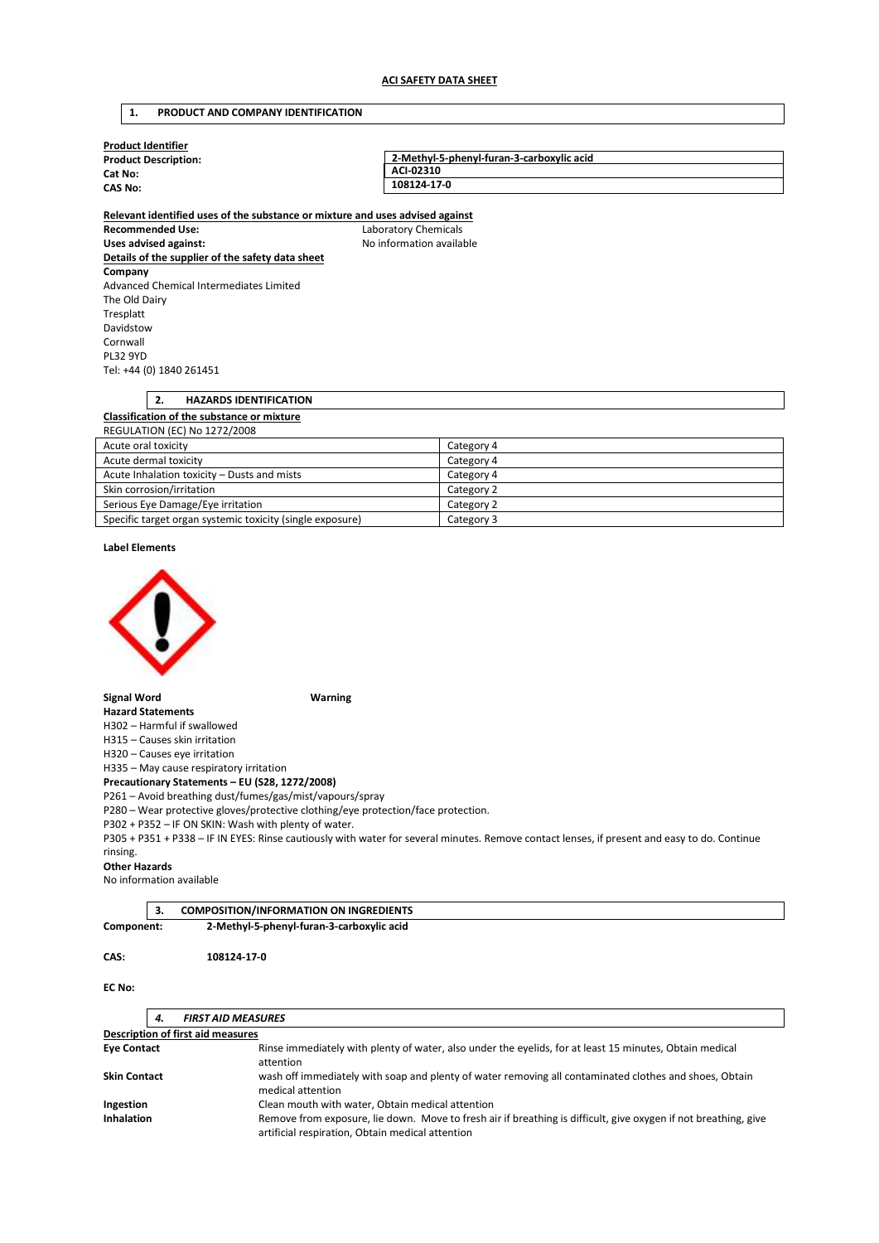## **1. PRODUCT AND COMPANY IDENTIFICATION**

| <b>Product Identifier</b>   |                                           |
|-----------------------------|-------------------------------------------|
| <b>Product Description:</b> | 2-Methyl-5-phenyl-furan-3-carboxylic acid |
| Cat No:                     | ACI-02310                                 |
| <b>CAS No:</b>              | 108124-17-0                               |
|                             |                                           |

**Relevant identified uses of the substance or mixture and uses advised against Recommended Use:** Laboratory Chemicals Uses advised against: **No information available Details of the supplier of the safety data sheet Company**  Advanced Chemical Intermediates Limited The Old Dairy Tresplatt Davidstow Cornwall PL32 9YD Tel: +44 (0) 1840 261451

# **2. HAZARDS IDENTIFICATION Classification of the substance or mixture**  REGULATION (EC) No 1272/2008 Acute oral toxicity Category 4

| Acute dermal toxicity                                     | Category 4 |
|-----------------------------------------------------------|------------|
| Acute Inhalation toxicity – Dusts and mists               | Category 4 |
| Skin corrosion/irritation                                 | Category 2 |
| Serious Eye Damage/Eye irritation                         | Category 2 |
| Specific target organ systemic toxicity (single exposure) | Category 3 |

#### **Label Elements**



### **Signal Word Warning**

**Hazard Statements**  H302 – Harmful if swallowed

H315 – Causes skin irritation H320 – Causes eye irritation

H335 – May cause respiratory irritation

**Precautionary Statements – EU (S28, 1272/2008)** 

P261 – Avoid breathing dust/fumes/gas/mist/vapours/spray

P280 – Wear protective gloves/protective clothing/eye protection/face protection.

P302 + P352 – IF ON SKIN: Wash with plenty of water.

P305 + P351 + P338 – IF IN EYES: Rinse cautiously with water for several minutes. Remove contact lenses, if present and easy to do. Continue rinsing.

#### **Other Hazards**

No information available

|            | <b>COMPOSITION/INFORMATION ON INGREDIENTS</b> |  |
|------------|-----------------------------------------------|--|
| Component: | 2-Methyl-5-phenyl-furan-3-carboxylic acid     |  |

### **CAS: 108124-17-0**

### **EC No:**

| 4.                                       | <b>FIRST AID MEASURES</b>                                                                                                                                           |
|------------------------------------------|---------------------------------------------------------------------------------------------------------------------------------------------------------------------|
| <b>Description of first aid measures</b> |                                                                                                                                                                     |
| <b>Eye Contact</b>                       | Rinse immediately with plenty of water, also under the eyelids, for at least 15 minutes, Obtain medical<br>attention                                                |
| <b>Skin Contact</b>                      | wash off immediately with soap and plenty of water removing all contaminated clothes and shoes, Obtain<br>medical attention                                         |
| Ingestion                                | Clean mouth with water, Obtain medical attention                                                                                                                    |
| <b>Inhalation</b>                        | Remove from exposure, lie down. Move to fresh air if breathing is difficult, give oxygen if not breathing, give<br>artificial respiration, Obtain medical attention |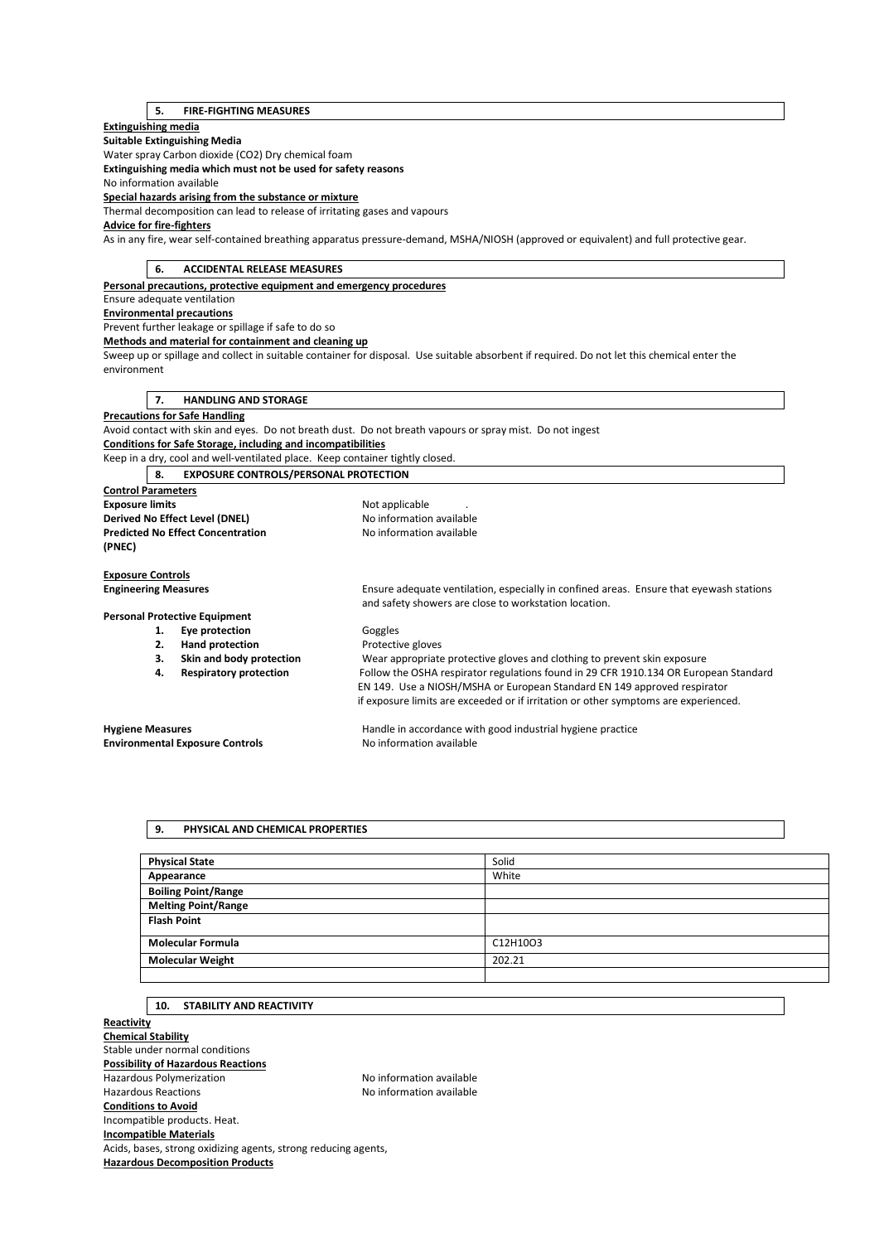## **5. FIRE-FIGHTING MEASURES**

## **Extinguishing media**

**Suitable Extinguishing Media** 

Water spray Carbon dioxide (CO2) Dry chemical foam

**Extinguishing media which must not be used for safety reasons** 

No information available

**Special hazards arising from the substance or mixture** 

Thermal decomposition can lead to release of irritating gases and vapours

## **Advice for fire-fighters**

As in any fire, wear self-contained breathing apparatus pressure-demand, MSHA/NIOSH (approved or equivalent) and full protective gear.

| 6.                          | <b>ACCIDENTAL RELEASE MEASURES</b>                                            |                                                                                                                                                  |
|-----------------------------|-------------------------------------------------------------------------------|--------------------------------------------------------------------------------------------------------------------------------------------------|
|                             | Personal precautions, protective equipment and emergency procedures           |                                                                                                                                                  |
|                             | Ensure adequate ventilation                                                   |                                                                                                                                                  |
|                             | <b>Environmental precautions</b>                                              |                                                                                                                                                  |
|                             | Prevent further leakage or spillage if safe to do so                          |                                                                                                                                                  |
|                             | Methods and material for containment and cleaning up                          |                                                                                                                                                  |
| environment                 |                                                                               | Sweep up or spillage and collect in suitable container for disposal. Use suitable absorbent if required. Do not let this chemical enter the      |
| 7.                          | <b>HANDLING AND STORAGE</b>                                                   |                                                                                                                                                  |
|                             | <b>Precautions for Safe Handling</b>                                          |                                                                                                                                                  |
|                             |                                                                               | Avoid contact with skin and eyes. Do not breath dust. Do not breath vapours or spray mist. Do not ingest                                         |
|                             | Conditions for Safe Storage, including and incompatibilities                  |                                                                                                                                                  |
|                             | Keep in a dry, cool and well-ventilated place. Keep container tightly closed. |                                                                                                                                                  |
| 8.                          | <b>EXPOSURE CONTROLS/PERSONAL PROTECTION</b>                                  |                                                                                                                                                  |
| <b>Control Parameters</b>   |                                                                               |                                                                                                                                                  |
| <b>Exposure limits</b>      |                                                                               | Not applicable                                                                                                                                   |
|                             | Derived No Effect Level (DNEL)                                                | No information available                                                                                                                         |
|                             | <b>Predicted No Effect Concentration</b>                                      | No information available                                                                                                                         |
| (PNEC)                      |                                                                               |                                                                                                                                                  |
|                             |                                                                               |                                                                                                                                                  |
| <b>Exposure Controls</b>    |                                                                               |                                                                                                                                                  |
| <b>Engineering Measures</b> |                                                                               | Ensure adequate ventilation, especially in confined areas. Ensure that eyewash stations<br>and safety showers are close to workstation location. |
|                             | <b>Personal Protective Equipment</b>                                          |                                                                                                                                                  |
| 1.                          | Eye protection                                                                | Goggles                                                                                                                                          |
| 2.                          | <b>Hand protection</b>                                                        | Protective gloves                                                                                                                                |
| 3.                          | Skin and body protection                                                      | Wear appropriate protective gloves and clothing to prevent skin exposure                                                                         |
| 4.                          | <b>Respiratory protection</b>                                                 | Follow the OSHA respirator regulations found in 29 CFR 1910.134 OR European Standard                                                             |
|                             |                                                                               | EN 149. Use a NIOSH/MSHA or European Standard EN 149 approved respirator                                                                         |
|                             |                                                                               | if exposure limits are exceeded or if irritation or other symptoms are experienced.                                                              |
| <b>Hygiene Measures</b>     |                                                                               | Handle in accordance with good industrial hygiene practice                                                                                       |
|                             | <b>Environmental Exposure Controls</b>                                        | No information available                                                                                                                         |

### **9. PHYSICAL AND CHEMICAL PROPERTIES**

| <b>Physical State</b>      | Solid    |
|----------------------------|----------|
| Appearance                 | White    |
| <b>Boiling Point/Range</b> |          |
| <b>Melting Point/Range</b> |          |
| <b>Flash Point</b>         |          |
| <b>Molecular Formula</b>   | C12H10O3 |
| <b>Molecular Weight</b>    | 202.21   |
|                            |          |

### **10. STABILITY AND REACTIVITY**

**Reactivity Chemical Stability**  Stable under normal conditions **Possibility of Hazardous Reactions**  Hazardous Polymerization Maximum No information available Hazardous Reactions **No information available Conditions to Avoid**  Incompatible products. Heat. **Incompatible Materials**  Acids, bases, strong oxidizing agents, strong reducing agents, **Hazardous Decomposition Products**